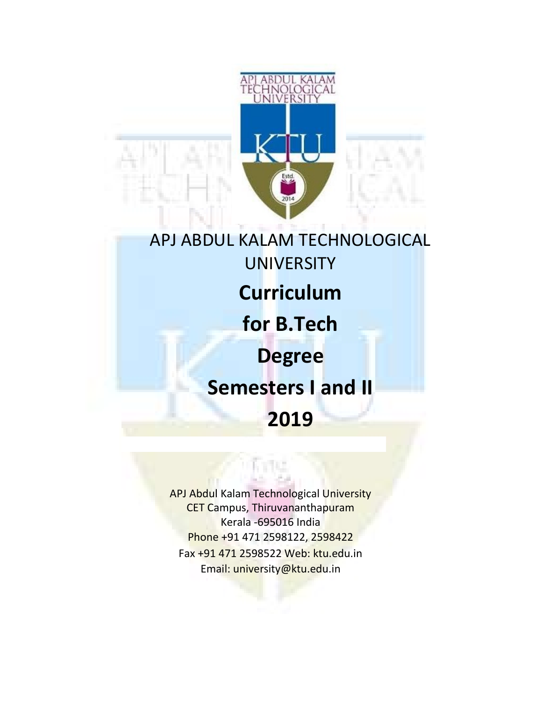

# APJ ABDUL KALAM TECHNOLOGICAL **UNIVERSITY Curriculum** for B.Tech Degree Semesters I and II 2019

APJ Abdul Kalam Technological University CET Campus, Thiruvananthapuram Kerala -695016 India Phone +91 471 2598122, 2598422 Fax +91 471 2598522 Web: ktu.edu.in Email: university@ktu.edu.in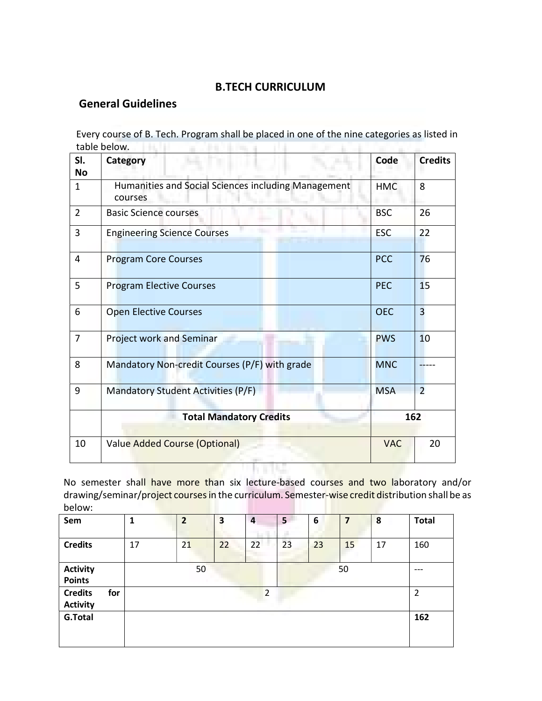## B.TECH CURRICULUM

## General Guidelines

Every course of B. Tech. Program shall be placed in one of the nine categories as listed in table below. The little was a state of the state of the state of the state of the state of the state of the state of the state of the state of the state of the state of the state of the state of the state of the state of t

| SI.<br><b>No</b> | Category                                                       | Code       | <b>Credits</b> |  |
|------------------|----------------------------------------------------------------|------------|----------------|--|
| $\mathbf{1}$     | Humanities and Social Sciences including Management<br>courses | <b>HMC</b> | 8              |  |
| $\overline{2}$   | <b>Basic Science courses</b>                                   | <b>BSC</b> | 26             |  |
| 3                | <b>Engineering Science Courses</b>                             | <b>ESC</b> | 22             |  |
| $\overline{4}$   | <b>Program Core Courses</b>                                    | <b>PCC</b> | 76             |  |
| 5                | <b>Program Elective Courses</b>                                | <b>PEC</b> | 15             |  |
| 6                | <b>Open Elective Courses</b>                                   | <b>OEC</b> | $\overline{3}$ |  |
| 7                | <b>Project work and Seminar</b>                                | <b>PWS</b> | 10             |  |
| 8                | Mandatory Non-credit Courses (P/F) with grade                  | <b>MNC</b> |                |  |
| 9                | Mandatory Student Activities (P/F)                             | <b>MSA</b> | $\overline{2}$ |  |
|                  | <b>Total Mandatory Credits</b>                                 |            | 162            |  |
| 10               | <b>Value Added Course (Optional)</b>                           | <b>VAC</b> | 20             |  |

No semester shall have more than six lecture-based courses and two laboratory and/or drawing/seminar/project courses in the curriculum. Semester-wise credit distribution shall be as below: 

| Sem                               |     | 1  | $\overline{2}$ | 3  | $\overline{a}$ | 5  | 6  | $\overline{7}$ | 8  | <b>Total</b>   |
|-----------------------------------|-----|----|----------------|----|----------------|----|----|----------------|----|----------------|
| <b>Credits</b>                    |     | 17 | 21             | 22 | 22             | 23 | 23 | 15             | 17 | 160            |
| <b>Activity</b><br><b>Points</b>  |     |    | 50             |    |                |    |    | 50             |    | $---$          |
| <b>Credits</b><br><b>Activity</b> | for |    |                |    | 2              |    |    |                |    | $\overline{2}$ |
| G.Total                           |     |    |                |    |                |    |    |                |    | 162            |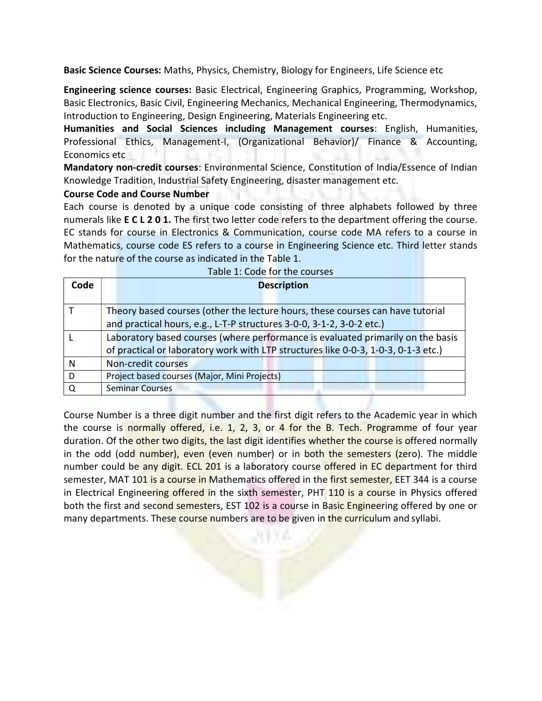Basic Science Courses: Maths, Physics, Chemistry, Biology for Engineers, Life Science etc

Engineering science courses: Basic Electrical, Engineering Graphics, Programming, Workshop, Basic Electronics, Basic Civil, Engineering Mechanics, Mechanical Engineering, Thermodynamics, Introduction to Engineering, Design Engineering, Materials Engineering etc.

Humanities and Social Sciences including Management courses: English, Humanities, Professional Ethics, Management-I, (Organizational Behavior)/ Finance & Accounting, Economics etc

Mandatory non-credit courses: Environmental Science, Constitution of India/Essence of Indian Knowledge Tradition, Industrial Safety Engineering, disaster management etc.

#### Course Code and Course Number

Each course is denoted by a unique code consisting of three alphabets followed by three numerals like **E C L 2 0 1.** The first two letter code refers to the department offering the course. EC stands for course in Electronics & Communication, course code MA refers to a course in Mathematics, course code ES refers to a course in Engineering Science etc. Third letter stands for the nature of the course as indicated in the Table 1.

| Code | <b>Description</b>                                                                 |
|------|------------------------------------------------------------------------------------|
|      |                                                                                    |
|      | Theory based courses (other the lecture hours, these courses can have tutorial     |
|      | and practical hours, e.g., L-T-P structures 3-0-0, 3-1-2, 3-0-2 etc.)              |
|      | Laboratory based courses (where performance is evaluated primarily on the basis    |
|      | of practical or laboratory work with LTP structures like 0-0-3, 1-0-3, 0-1-3 etc.) |
| N    | Non-credit courses                                                                 |
| D    | Project based courses (Major, Mini Projects)                                       |
|      | <b>Seminar Courses</b>                                                             |

Course Number is a three digit number and the first digit refers to the Academic year in which the course is normally offered, i.e. 1, 2, 3, or 4 for the B. Tech. Programme of four year duration. Of the other two digits, the last digit identifies whether the course is offered normally in the odd (odd number), even (even number) or in both the semesters (zero). The middle number could be any digit. ECL 201 is a laboratory course offered in EC department for third semester, MAT 101 is a course in Mathematics offered in the first semester, EET 344 is a course in Electrical Engineering offered in the sixth semester, PHT 110 is a course in Physics offered both the first and second semesters, EST 102 is a course in Basic Engineering offered by one or many departments. These course numbers are to be given in the curriculum and syllabi.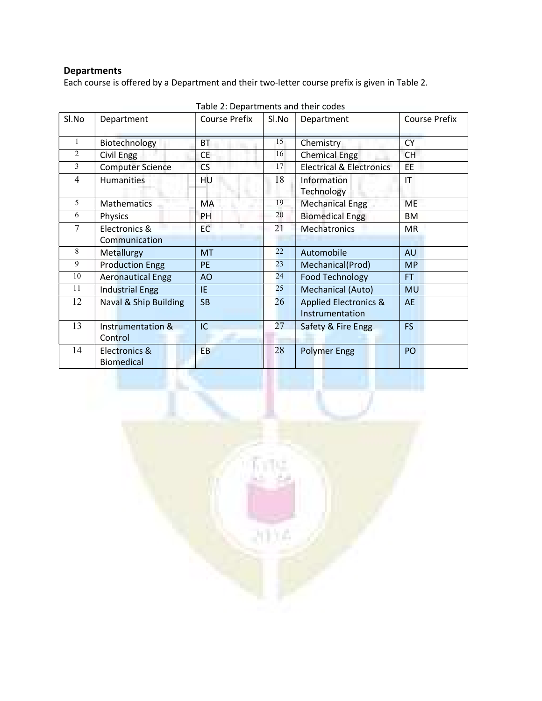## Departments

Each course is offered by a Department and their two-letter course prefix is given in Table 2.

| Sl.No          | Department                              | <b>Course Prefix</b> | Sl.No | Department                                          | <b>Course Prefix</b> |
|----------------|-----------------------------------------|----------------------|-------|-----------------------------------------------------|----------------------|
| 1              | Biotechnology                           | <b>BT</b>            | 15    | <b>Chemistry</b>                                    | <b>CY</b>            |
| $\overline{2}$ | Civil Engg                              | СE                   | 16    | <b>Chemical Engg</b>                                | <b>CH</b>            |
| 3              | <b>Computer Science</b>                 | <b>CS</b>            | 17    | <b>Electrical &amp; Electronics</b>                 | EE                   |
| $\overline{4}$ | <b>Humanities</b>                       | HU                   | 18    | Information<br>Technology                           | IT                   |
| 5              | <b>Mathematics</b>                      | МA                   | 19    | <b>Mechanical Engg</b>                              | ME                   |
| 6              | Physics                                 | PH                   | 20    | <b>Biomedical Engg</b>                              | BM                   |
| 7              | Electronics &                           | <b>EC</b>            | 21    | <b>Mechatronics</b>                                 | <b>MR</b>            |
|                | Communication                           |                      |       |                                                     |                      |
| 8              | Metallurgy                              | <b>MT</b>            | 22    | Automobile                                          | <b>AU</b>            |
| 9              | <b>Production Engg</b>                  | <b>PE</b>            | 23    | Mechanical(Prod)                                    | <b>MP</b>            |
| 10             | <b>Aeronautical Engg</b>                | AO                   | 24    | <b>Food Technology</b>                              | <b>FT</b>            |
| 11             | <b>Industrial Engg</b>                  | IE.                  | 25    | Mechanical (Auto)                                   | <b>MU</b>            |
| 12             | Naval & Ship Building                   | <b>SB</b>            | 26    | <b>Applied Electronics &amp;</b><br>Instrumentation | <b>AE</b>            |
| 13             | <b>Instrumentation &amp;</b><br>Control | IC                   | 27    | Safety & Fire Engg                                  | <b>FS</b>            |
| 14             | Electronics &<br><b>Biomedical</b>      | EB                   | 28    | <b>Polymer Engg</b>                                 | PO                   |

Table 2: Departments and their codes

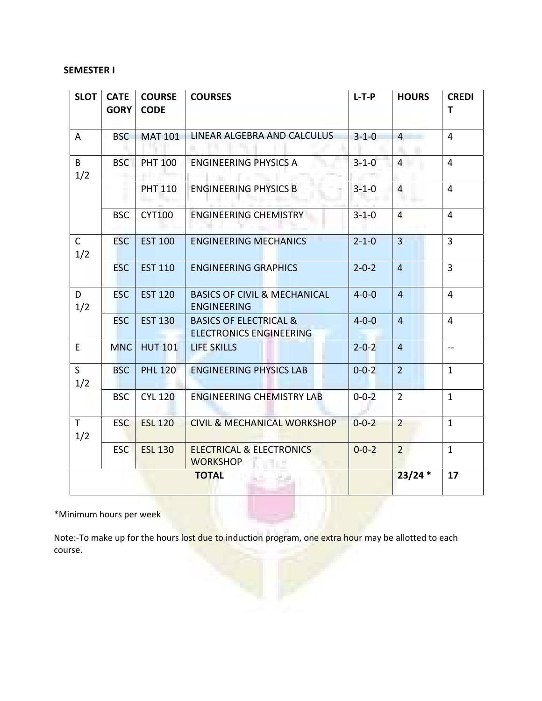### SEMESTER I

| SLOT                    | <b>CATE</b><br><b>GORY</b> | <b>COURSE</b><br><b>CODE</b> | <b>COURSES</b>                                                      | $L-T-P$     | <b>HOURS</b>   | <b>CREDI</b><br>T |
|-------------------------|----------------------------|------------------------------|---------------------------------------------------------------------|-------------|----------------|-------------------|
| $\overline{\mathsf{A}}$ | <b>BSC</b>                 | <b>MAT 101</b>               | LINEAR ALGEBRA AND CALCULUS                                         | $3 - 1 - 0$ | $\overline{4}$ | $\overline{4}$    |
| $\mathsf{B}$<br>1/2     | <b>BSC</b>                 | <b>PHT 100</b>               | <b>ENGINEERING PHYSICS A</b>                                        | $3 - 1 - 0$ | $\overline{4}$ | $\overline{4}$    |
|                         |                            | <b>PHT 110</b>               | <b>ENGINEERING PHYSICS B</b>                                        | $3 - 1 - 0$ | $\overline{4}$ | $\overline{4}$    |
|                         | <b>BSC</b>                 | <b>CYT100</b>                | <b>ENGINEERING CHEMISTRY</b>                                        | $3 - 1 - 0$ | $\overline{4}$ | $\overline{4}$    |
| $\mathsf{C}$<br>1/2     | <b>ESC</b>                 | <b>EST 100</b>               | <b>ENGINEERING MECHANICS</b>                                        | $2 - 1 - 0$ | $\overline{3}$ | $\overline{3}$    |
|                         | <b>ESC</b>                 | <b>EST 110</b>               | <b>ENGINEERING GRAPHICS</b>                                         | $2 - 0 - 2$ | $\overline{4}$ | $\overline{3}$    |
| D<br>1/2                | <b>ESC</b>                 | <b>EST 120</b>               | <b>BASICS OF CIVIL &amp; MECHANICAL</b><br><b>ENGINEERING</b>       | $4 - 0 - 0$ | $\overline{4}$ | $\overline{4}$    |
|                         | <b>ESC</b>                 | <b>EST 130</b>               | <b>BASICS OF ELECTRICAL &amp;</b><br><b>ELECTRONICS ENGINEERING</b> | $4 - 0 - 0$ | $\overline{4}$ | $\overline{4}$    |
| $\mathsf E$             | <b>MNC</b>                 | <b>HUT 101</b>               | LIFE SKILLS                                                         | $2 - 0 - 2$ | $\overline{4}$ | $- -$             |
| $\mathsf{S}$<br>1/2     | <b>BSC</b>                 | <b>PHL 120</b>               | <b>ENGINEERING PHYSICS LAB</b>                                      | $0 - 0 - 2$ | 2 <sup>1</sup> | $\mathbf{1}$      |
|                         | <b>BSC</b>                 | <b>CYL 120</b>               | <b>ENGINEERING CHEMISTRY LAB</b>                                    | $0 - 0 - 2$ | $2^{\circ}$    | $\mathbf{1}$      |
| $\mathsf T$<br>1/2      | <b>ESC</b>                 | <b>ESL 120</b>               | <b>CIVIL &amp; MECHANICAL WORKSHOP</b>                              | $0 - 0 - 2$ | $\overline{2}$ | $\mathbf{1}$      |
|                         | <b>ESC</b>                 | <b>ESL 130</b>               | <b>ELECTRICAL &amp; ELECTRONICS</b><br><b>WORKSHOP</b>              | $0 - 0 - 2$ | $2^{\circ}$    | $\mathbf{1}$      |
|                         |                            |                              | <b>TOTAL</b>                                                        |             | $23/24*$       | 17                |

\*Minimum hours per week

Note:-To make up for the hours lost due to induction program, one extra hour may be allotted to each course.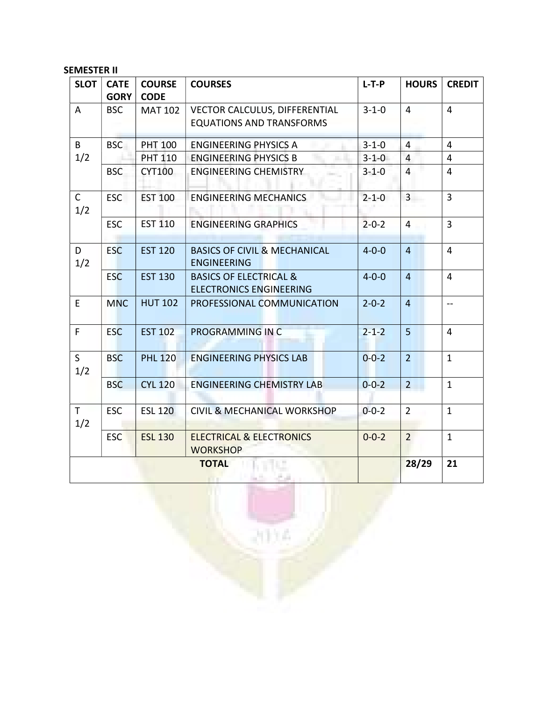SEMESTER II

| SLOT                | <b>CATE</b><br>GORY | <b>COURSE</b><br><b>CODE</b> | <b>COURSES</b>                                                      | $L-T-P$     | <b>HOURS</b>   | <b>CREDIT</b>  |
|---------------------|---------------------|------------------------------|---------------------------------------------------------------------|-------------|----------------|----------------|
| A                   | <b>BSC</b>          | <b>MAT 102</b>               | VECTOR CALCULUS, DIFFERENTIAL<br><b>EQUATIONS AND TRANSFORMS</b>    | $3 - 1 - 0$ | $\overline{4}$ | $\overline{4}$ |
| B                   | <b>BSC</b>          | <b>PHT 100</b>               | <b>ENGINEERING PHYSICS A</b>                                        | $3 - 1 - 0$ | $\overline{4}$ | $\overline{4}$ |
| 1/2                 |                     | <b>PHT 110</b>               | <b>ENGINEERING PHYSICS B</b>                                        | $3 - 1 - 0$ | $\overline{4}$ | $\overline{4}$ |
|                     | <b>BSC</b>          | <b>CYT100</b>                | <b>ENGINEERING CHEMISTRY</b>                                        | $3 - 1 - 0$ | $\overline{4}$ | $\overline{4}$ |
| $\mathsf{C}$<br>1/2 | <b>ESC</b>          | <b>EST 100</b>               | <b>ENGINEERING MECHANICS</b>                                        | $2 - 1 - 0$ | $\overline{3}$ | $\overline{3}$ |
|                     | <b>ESC</b>          | <b>EST 110</b>               | <b>ENGINEERING GRAPHICS</b>                                         | $2 - 0 - 2$ | $\overline{4}$ | $\overline{3}$ |
| D<br>1/2            | <b>ESC</b>          | <b>EST 120</b>               | <b>BASICS OF CIVIL &amp; MECHANICAL</b><br><b>ENGINEERING</b>       | $4 - 0 - 0$ | $\overline{4}$ | $\overline{4}$ |
|                     | <b>ESC</b>          | <b>EST 130</b>               | <b>BASICS OF ELECTRICAL &amp;</b><br><b>ELECTRONICS ENGINEERING</b> | $4 - 0 - 0$ | $\overline{4}$ | $\overline{4}$ |
| E                   | <b>MNC</b>          | <b>HUT 102</b>               | PROFESSIONAL COMMUNICATION                                          | $2 - 0 - 2$ | $\overline{4}$ | --             |
| F                   | <b>ESC</b>          | <b>EST 102</b>               | PROGRAMMING IN C                                                    | $2 - 1 - 2$ | 5 <sub>5</sub> | 4              |
| S<br>1/2            | <b>BSC</b>          | <b>PHL 120</b>               | <b>ENGINEERING PHYSICS LAB</b>                                      | $0 - 0 - 2$ | $\overline{2}$ | $\mathbf{1}$   |
|                     | <b>BSC</b>          | <b>CYL 120</b>               | <b>ENGINEERING CHEMISTRY LAB</b>                                    | $0 - 0 - 2$ | 2 <sup>1</sup> | $\mathbf{1}$   |
| $\mathsf{T}$<br>1/2 | <b>ESC</b>          | <b>ESL 120</b>               | <b>CIVIL &amp; MECHANICAL WORKSHOP</b>                              | $0 - 0 - 2$ | $\overline{2}$ | $\mathbf{1}$   |
|                     | <b>ESC</b>          | <b>ESL 130</b>               | <b>ELECTRICAL &amp; ELECTRONICS</b><br><b>WORKSHOP</b>              | $0 - 0 - 2$ | $\overline{2}$ | $\mathbf{1}$   |
|                     |                     |                              | <b>TOTAL</b>                                                        |             | 28/29          | 21             |

ïΑ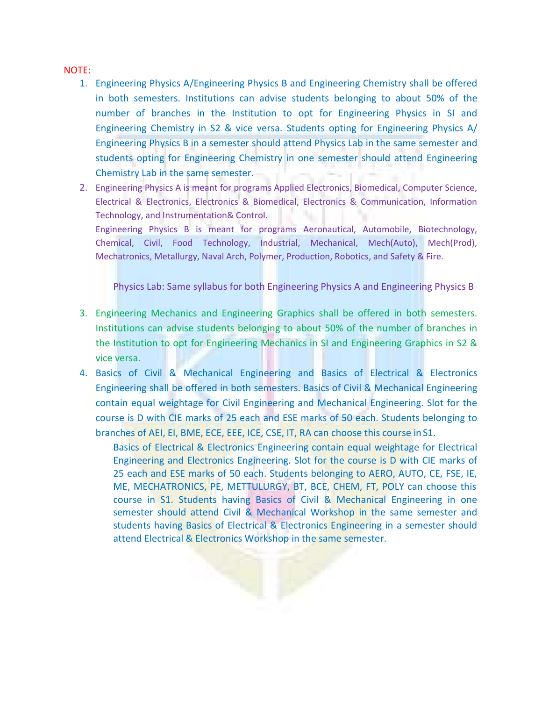#### NOTE:

- 1. Engineering Physics A/Engineering Physics B and Engineering Chemistry shall be offered in both semesters. Institutions can advise students belonging to about 50% of the number of branches in the Institution to opt for Engineering Physics in SI and Engineering Chemistry in S2 & vice versa. Students opting for Engineering Physics A/ Engineering Physics B in a semester should attend Physics Lab in the same semester and students opting for Engineering Chemistry in one semester should attend Engineering Chemistry Lab in the same semester.
- 2. Engineering Physics A is meant for programs Applied Electronics, Biomedical, Computer Science, Electrical & Electronics, Electronics & Biomedical, Electronics & Communication, Information Technology, and Instrumentation& Control.

Engineering Physics B is meant for programs Aeronautical, Automobile, Biotechnology, Chemical, Civil, Food Technology, Industrial, Mechanical, Mech(Auto), Mech(Prod), Mechatronics, Metallurgy, Naval Arch, Polymer, Production, Robotics, and Safety & Fire.

Physics Lab: Same syllabus for both Engineering Physics A and Engineering Physics B

- 3. Engineering Mechanics and Engineering Graphics shall be offered in both semesters. Institutions can advise students belonging to about 50% of the number of branches in the Institution to opt for Engineering Mechanics in SI and Engineering Graphics in S2 & vice versa.
- 4. Basics of Civil & Mechanical Engineering and Basics of Electrical & Electronics Engineering shall be offered in both semesters. Basics of Civil & Mechanical Engineering contain equal weightage for Civil Engineering and Mechanical Engineering. Slot for the course is D with CIE marks of 25 each and ESE marks of 50 each. Students belonging to branches of AEI, EI, BME, ECE, EEE, ICE, CSE, IT, RA can choose this course in S1.

Basics of Electrical & Electronics Engineering contain equal weightage for Electrical Engineering and Electronics Engineering. Slot for the course is D with CIE marks of 25 each and ESE marks of 50 each. Students belonging to AERO, AUTO, CE, FSE, IE, ME, MECHATRONICS, PE, METTULURGY, BT, BCE, CHEM, FT, POLY can choose this course in S1. Students having Basics of Civil & Mechanical Engineering in one semester should attend Civil & Mechanical Workshop in the same semester and students having Basics of Electrical & Electronics Engineering in a semester should attend Electrical & Electronics Workshop in the same semester.